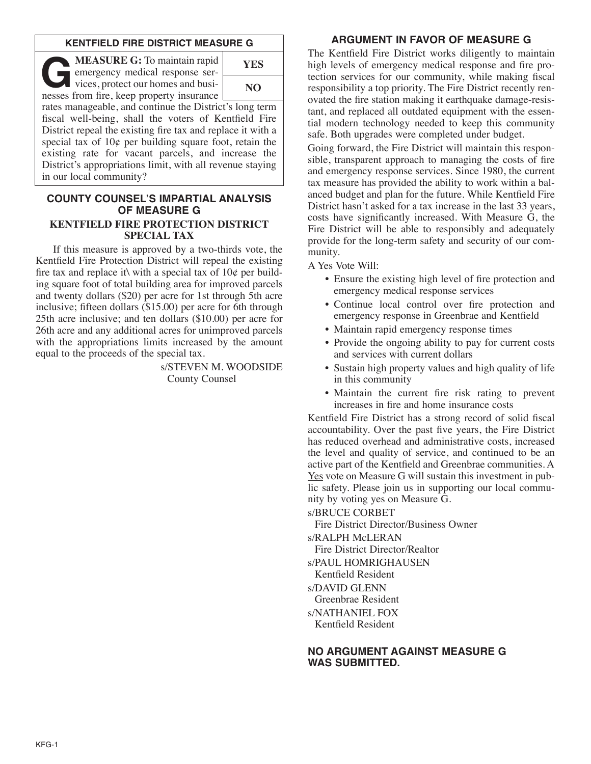### **KENTFIELD FIRE DISTRICT MEASURE G**

**GEASURE G:** To maintain rapid<br>
emergency medical response services, protect our homes and busi-<br>
nesses from fire keep property insurance emergency medical response sernesses from fire, keep property insurance



rates manageable, and continue the District's long term fiscal well-being, shall the voters of Kentfield Fire District repeal the existing fire tax and replace it with a special tax of  $10¢$  per building square foot, retain the existing rate for vacant parcels, and increase the District's appropriations limit, with all revenue staying in our local community?

#### **COUNTY COUNSEL'S IMPARTIAL ANALYSIS OF MEASURE G KENTFIELD FIRE PROTECTION DISTRICT SPECIAL TAX**

If this measure is approved by a two-thirds vote, the Kentfield Fire Protection District will repeal the existing fire tax and replace it with a special tax of  $10¢$  per building square foot of total building area for improved parcels and twenty dollars (\$20) per acre for 1st through 5th acre inclusive; fifteen dollars (\$15.00) per acre for 6th through 25th acre inclusive; and ten dollars (\$10.00) per acre for 26th acre and any additional acres for unimproved parcels with the appropriations limits increased by the amount equal to the proceeds of the special tax.

> s/STEVEN M. WOODSIDE County Counsel

## **ARGUMENT IN FAVOR OF MEASURE G**

The Kentfield Fire District works diligently to maintain high levels of emergency medical response and fire protection services for our community, while making fiscal responsibility a top priority. The Fire District recently renovated the fire station making it earthquake damage-resistant, and replaced all outdated equipment with the essential modern technology needed to keep this community safe. Both upgrades were completed under budget.

Going forward, the Fire District will maintain this responsible, transparent approach to managing the costs of fire and emergency response services. Since 1980, the current tax measure has provided the ability to work within a balanced budget and plan for the future. While Kentfield Fire District hasn't asked for a tax increase in the last 33 years, costs have significantly increased. With Measure G, the Fire District will be able to responsibly and adequately provide for the long-term safety and security of our community.

A Yes Vote Will:

- Ensure the existing high level of fire protection and emergency medical response services
- Continue local control over fire protection and emergency response in Greenbrae and Kentfield
- Maintain rapid emergency response times
- Provide the ongoing ability to pay for current costs and services with current dollars
- Sustain high property values and high quality of life in this community
- Maintain the current fire risk rating to prevent increases in fire and home insurance costs

Kentfield Fire District has a strong record of solid fiscal accountability. Over the past five years, the Fire District has reduced overhead and administrative costs, increased the level and quality of service, and continued to be an active part of the Kentfield and Greenbrae communities. A Yes vote on Measure G will sustain this investment in public safety. Please join us in supporting our local community by voting yes on Measure G.

s/BRUCE CORBET

Fire District Director/Business Owner

s/RALPH McLERAN

Fire District Director/Realtor

s/PAUL HOMRIGHAUSEN

Kentfield Resident

s/DAVID GLENN

Greenbrae Resident

s/NATHANIEL FOX

Kentfield Resident

### **NO ARGUMENT AGAINST MEASURE G WAS SUBMITTED.**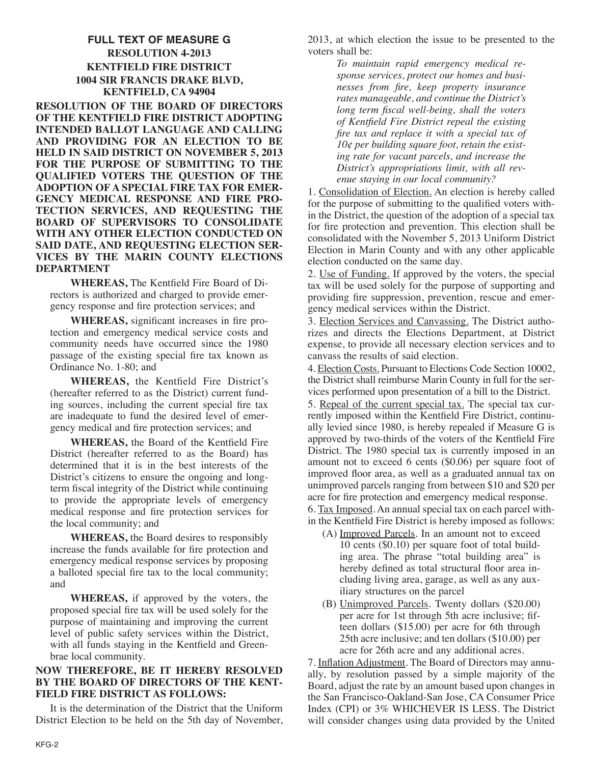# **FULL TEXT OF MEASURE G RESOLUTION 4-2013 KENTFIELD FIRE DISTRICT 1004 SIR FRANCIS DRAKE BLVD, KENTFIELD, CA 94904**

**RESOLUTION OF THE BOARD OF DIRECTORS OF THE KENTFIELD FIRE DISTRICT ADOPTING INTENDED BALLOT LANGUAGE AND CALLING AND PROVIDING FOR AN ELECTION TO BE HELD IN SAID DISTRICT ON NOVEMBER 5, 2013 FOR THE PURPOSE OF SUBMITTING TO THE QUALIFIED VOTERS THE QUESTION OF THE ADOPTION OF A SPECIAL FIRE TAX FOR EMER-GENCY MEDICAL RESPONSE AND FIRE PRO-TECTION SERVICES, AND REQUESTING THE BOARD OF SUPERVISORS TO CONSOLIDATE WITH ANY OTHER ELECTION CONDUCTED ON SAID DATE, AND REQUESTING ELECTION SER-VICES BY THE MARIN COUNTY ELECTIONS DEPARTMENT**

**WHEREAS,** The Kentfield Fire Board of Directors is authorized and charged to provide emergency response and fire protection services; and

**WHEREAS,** significant increases in fire protection and emergency medical service costs and community needs have occurred since the 1980 passage of the existing special fire tax known as Ordinance No. 1-80; and

**WHEREAS,** the Kentfield Fire District's (hereafter referred to as the District) current funding sources, including the current special fire tax are inadequate to fund the desired level of emergency medical and fire protection services; and

**WHEREAS,** the Board of the Kentfield Fire District (hereafter referred to as the Board) has determined that it is in the best interests of the District's citizens to ensure the ongoing and longterm fiscal integrity of the District while continuing to provide the appropriate levels of emergency medical response and fire protection services for the local community; and

**WHEREAS,** the Board desires to responsibly increase the funds available for fire protection and emergency medical response services by proposing a balloted special fire tax to the local community; and

**WHEREAS,** if approved by the voters, the proposed special fire tax will be used solely for the purpose of maintaining and improving the current level of public safety services within the District, with all funds staying in the Kentfield and Greenbrae local community.

### **NOW THEREFORE, BE IT HEREBY RESOLVED BY THE BOARD OF DIRECTORS OF THE KENT-FIELD FIRE DISTRICT AS FOLLOWS:**

It is the determination of the District that the Uniform District Election to be held on the 5th day of November, 2013, at which election the issue to be presented to the voters shall be:

> *To maintain rapid emergency medical response services, protect our homes and businesses from fire, keep property insurance rates manageable, and continue the District's long term fiscal well-being, shall the voters of Kentfield Fire District repeal the existing fire tax and replace it with a special tax of 10¢ per building square foot, retain the existing rate for vacant parcels, and increase the District's appropriations limit, with all revenue staying in our local community?*

1. Consolidation of Election. An election is hereby called for the purpose of submitting to the qualified voters within the District, the question of the adoption of a special tax for fire protection and prevention. This election shall be consolidated with the November 5, 2013 Uniform District Election in Marin County and with any other applicable election conducted on the same day.

2. Use of Funding. If approved by the voters, the special tax will be used solely for the purpose of supporting and providing fire suppression, prevention, rescue and emergency medical services within the District.

3. Election Services and Canvassing. The District authorizes and directs the Elections Department, at District expense, to provide all necessary election services and to canvass the results of said election.

4. Election Costs. Pursuant to Elections Code Section 10002, the District shall reimburse Marin County in full for the services performed upon presentation of a bill to the District.

5. Repeal of the current special tax. The special tax currently imposed within the Kentfield Fire District, continually levied since 1980, is hereby repealed if Measure G is approved by two-thirds of the voters of the Kentfield Fire District. The 1980 special tax is currently imposed in an amount not to exceed 6 cents (\$0.06) per square foot of improved floor area, as well as a graduated annual tax on unimproved parcels ranging from between \$10 and \$20 per acre for fire protection and emergency medical response. 6. Tax Imposed. An annual special tax on each parcel with-

in the Kentfield Fire District is hereby imposed as follows:

- (A) Improved Parcels. In an amount not to exceed 10 cents (\$0.10) per square foot of total building area. The phrase "total building area" is hereby defined as total structural floor area including living area, garage, as well as any auxiliary structures on the parcel
- (B) Unimproved Parcels. Twenty dollars (\$20.00) per acre for 1st through 5th acre inclusive; fifteen dollars (\$15.00) per acre for 6th through 25th acre inclusive; and ten dollars (\$10.00) per acre for 26th acre and any additional acres.

7. Inflation Adjustment. The Board of Directors may annually, by resolution passed by a simple majority of the Board, adjust the rate by an amount based upon changes in the San Francisco-Oakland-San Jose, CA Consumer Price Index (CPI) or 3% WHICHEVER IS LESS. The District will consider changes using data provided by the United